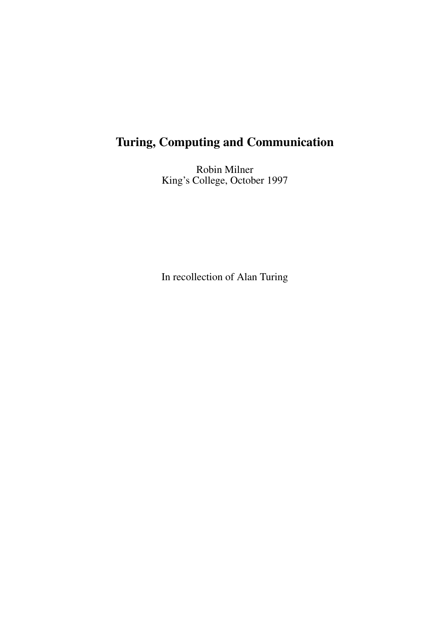# **Turing, Computing and Communication**

Robin Milner King's College, October 1997

In recollection of Alan Turing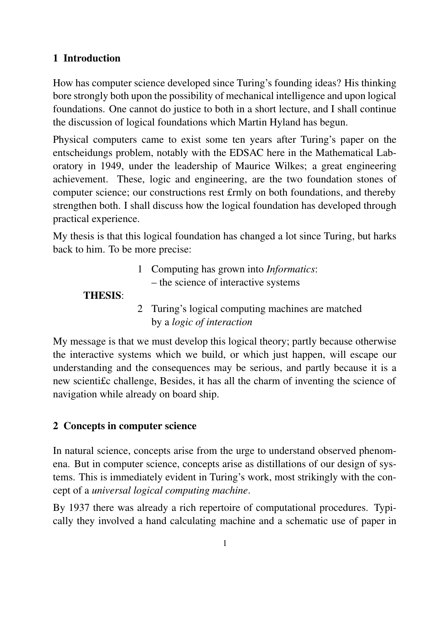# **1 Introduction**

How has computer science developed since Turing's founding ideas? His thinking bore strongly both upon the possibility of mechanical intelligence and upon logical foundations. One cannot do justice to both in a short lecture, and I shall continue the discussion of logical foundations which Martin Hyland has begun.

Physical computers came to exist some ten years after Turing's paper on the entscheidungs problem, notably with the EDSAC here in the Mathematical Laboratory in 1949, under the leadership of Maurice Wilkes; a great engineering achievement. These, logic and engineering, are the two foundation stones of computer science; our constructions rest £rmly on both foundations, and thereby strengthen both. I shall discuss how the logical foundation has developed through practical experience.

My thesis is that this logical foundation has changed a lot since Turing, but harks back to him. To be more precise:

> 1 Computing has grown into *Informatics*: – the science of interactive systems

## **THESIS**:

2 Turing's logical computing machines are matched by a *logic of interaction*

My message is that we must develop this logical theory; partly because otherwise the interactive systems which we build, or which just happen, will escape our understanding and the consequences may be serious, and partly because it is a new scienti£c challenge, Besides, it has all the charm of inventing the science of navigation while already on board ship.

# **2 Concepts in computer science**

In natural science, concepts arise from the urge to understand observed phenomena. But in computer science, concepts arise as distillations of our design of systems. This is immediately evident in Turing's work, most strikingly with the concept of a *universal logical computing machine*.

By 1937 there was already a rich repertoire of computational procedures. Typically they involved a hand calculating machine and a schematic use of paper in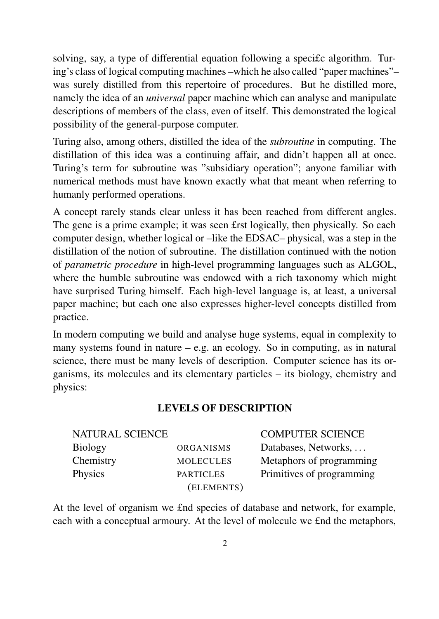solving, say, a type of differential equation following a speci£c algorithm. Turing's class of logical computing machines –which he also called "paper machines"– was surely distilled from this repertoire of procedures. But he distilled more, namely the idea of an *universal* paper machine which can analyse and manipulate descriptions of members of the class, even of itself. This demonstrated the logical possibility of the general-purpose computer.

Turing also, among others, distilled the idea of the *subroutine* in computing. The distillation of this idea was a continuing affair, and didn't happen all at once. Turing's term for subroutine was "subsidiary operation"; anyone familiar with numerical methods must have known exactly what that meant when referring to humanly performed operations.

A concept rarely stands clear unless it has been reached from different angles. The gene is a prime example; it was seen £rst logically, then physically. So each computer design, whether logical or –like the EDSAC– physical, was a step in the distillation of the notion of subroutine. The distillation continued with the notion of *parametric procedure* in high-level programming languages such as ALGOL, where the humble subroutine was endowed with a rich taxonomy which might have surprised Turing himself. Each high-level language is, at least, a universal paper machine; but each one also expresses higher-level concepts distilled from practice.

In modern computing we build and analyse huge systems, equal in complexity to many systems found in nature  $-$  e.g. an ecology. So in computing, as in natural science, there must be many levels of description. Computer science has its organisms, its molecules and its elementary particles – its biology, chemistry and physics:

#### **LEVELS OF DESCRIPTION**

| NATURAL SCIENCE |                  | <b>COMPUTER SCIENCE</b>   |
|-----------------|------------------|---------------------------|
| <b>Biology</b>  | <b>ORGANISMS</b> | Databases, Networks,      |
| Chemistry       | <b>MOLECULES</b> | Metaphors of programming  |
| <b>Physics</b>  | <b>PARTICLES</b> | Primitives of programming |
|                 | (ELEMENTS)       |                           |

At the level of organism we £nd species of database and network, for example, each with a conceptual armoury. At the level of molecule we £nd the metaphors,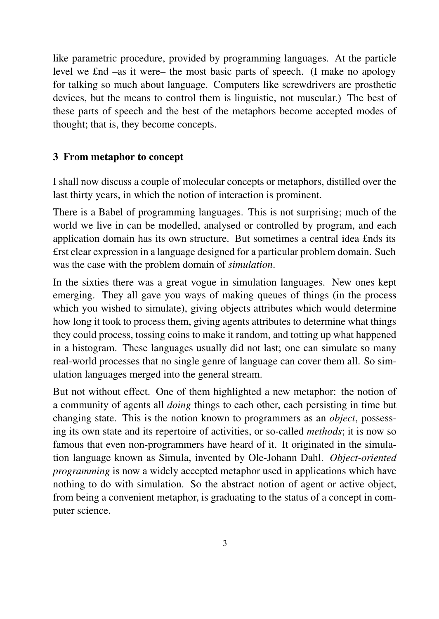like parametric procedure, provided by programming languages. At the particle level we £nd –as it were– the most basic parts of speech. (I make no apology for talking so much about language. Computers like screwdrivers are prosthetic devices, but the means to control them is linguistic, not muscular.) The best of these parts of speech and the best of the metaphors become accepted modes of thought; that is, they become concepts.

## **3 From metaphor to concept**

I shall now discuss a couple of molecular concepts or metaphors, distilled over the last thirty years, in which the notion of interaction is prominent.

There is a Babel of programming languages. This is not surprising; much of the world we live in can be modelled, analysed or controlled by program, and each application domain has its own structure. But sometimes a central idea £nds its £rst clear expression in a language designed for a particular problem domain. Such was the case with the problem domain of *simulation*.

In the sixties there was a great vogue in simulation languages. New ones kept emerging. They all gave you ways of making queues of things (in the process which you wished to simulate), giving objects attributes which would determine how long it took to process them, giving agents attributes to determine what things they could process, tossing coins to make it random, and totting up what happened in a histogram. These languages usually did not last; one can simulate so many real-world processes that no single genre of language can cover them all. So simulation languages merged into the general stream.

But not without effect. One of them highlighted a new metaphor: the notion of a community of agents all *doing* things to each other, each persisting in time but changing state. This is the notion known to programmers as an *object*, possessing its own state and its repertoire of activities, or so-called *methods*; it is now so famous that even non-programmers have heard of it. It originated in the simulation language known as Simula, invented by Ole-Johann Dahl. *Object-oriented programming* is now a widely accepted metaphor used in applications which have nothing to do with simulation. So the abstract notion of agent or active object, from being a convenient metaphor, is graduating to the status of a concept in computer science.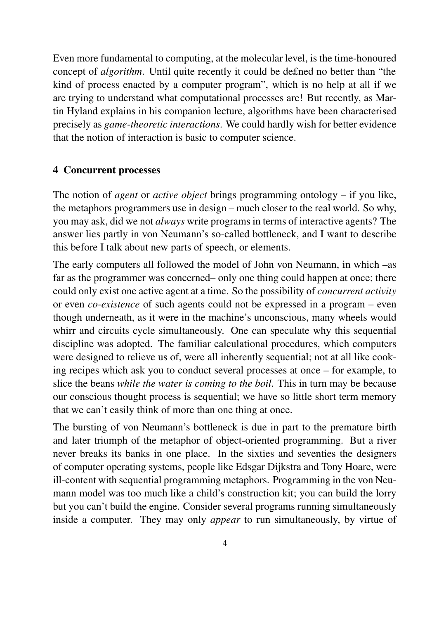Even more fundamental to computing, at the molecular level, is the time-honoured concept of *algorithm*. Until quite recently it could be de£ned no better than "the kind of process enacted by a computer program", which is no help at all if we are trying to understand what computational processes are! But recently, as Martin Hyland explains in his companion lecture, algorithms have been characterised precisely as *game-theoretic interactions*. We could hardly wish for better evidence that the notion of interaction is basic to computer science.

#### **4 Concurrent processes**

The notion of *agent* or *active object* brings programming ontology – if you like, the metaphors programmers use in design – much closer to the real world. So why, you may ask, did we not *always* write programs in terms of interactive agents? The answer lies partly in von Neumann's so-called bottleneck, and I want to describe this before I talk about new parts of speech, or elements.

The early computers all followed the model of John von Neumann, in which –as far as the programmer was concerned– only one thing could happen at once; there could only exist one active agent at a time. So the possibility of *concurrent activity* or even *co-existence* of such agents could not be expressed in a program – even though underneath, as it were in the machine's unconscious, many wheels would whirr and circuits cycle simultaneously. One can speculate why this sequential discipline was adopted. The familiar calculational procedures, which computers were designed to relieve us of, were all inherently sequential; not at all like cooking recipes which ask you to conduct several processes at once – for example, to slice the beans *while the water is coming to the boil*. This in turn may be because our conscious thought process is sequential; we have so little short term memory that we can't easily think of more than one thing at once.

The bursting of von Neumann's bottleneck is due in part to the premature birth and later triumph of the metaphor of object-oriented programming. But a river never breaks its banks in one place. In the sixties and seventies the designers of computer operating systems, people like Edsgar Dijkstra and Tony Hoare, were ill-content with sequential programming metaphors. Programming in the von Neumann model was too much like a child's construction kit; you can build the lorry but you can't build the engine. Consider several programs running simultaneously inside a computer. They may only *appear* to run simultaneously, by virtue of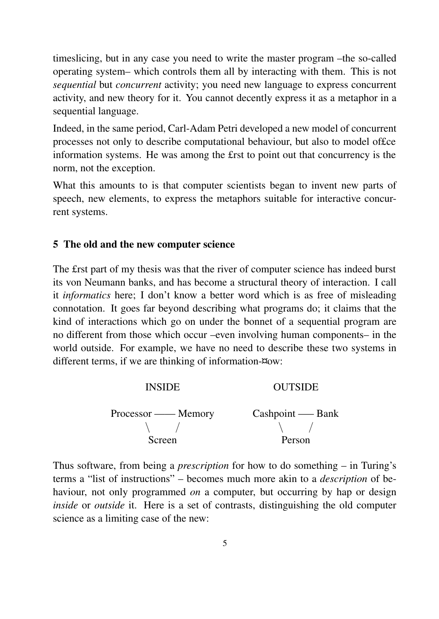timeslicing, but in any case you need to write the master program –the so-called operating system– which controls them all by interacting with them. This is not *sequential* but *concurrent* activity; you need new language to express concurrent activity, and new theory for it. You cannot decently express it as a metaphor in a sequential language.

Indeed, in the same period, Carl-Adam Petri developed a new model of concurrent processes not only to describe computational behaviour, but also to model of£ce information systems. He was among the £rst to point out that concurrency is the norm, not the exception.

What this amounts to is that computer scientists began to invent new parts of speech, new elements, to express the metaphors suitable for interactive concurrent systems.

### **5 The old and the new computer science**

The £rst part of my thesis was that the river of computer science has indeed burst its von Neumann banks, and has become a structural theory of interaction. I call it *informatics* here; I don't know a better word which is as free of misleading connotation. It goes far beyond describing what programs do; it claims that the kind of interactions which go on under the bonnet of a sequential program are no different from those which occur –even involving human components– in the world outside. For example, we have no need to describe these two systems in different terms, if we are thinking of information- $\alpha_{0}$ .



Thus software, from being a *prescription* for how to do something – in Turing's terms a "list of instructions" – becomes much more akin to a *description* of behaviour, not only programmed *on* a computer, but occurring by hap or design *inside* or *outside* it. Here is a set of contrasts, distinguishing the old computer science as a limiting case of the new: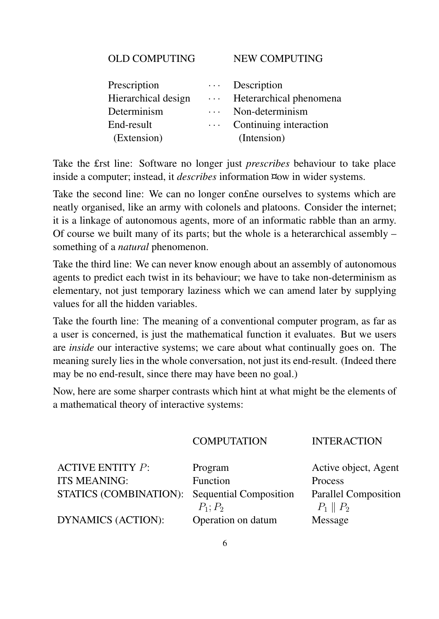| <b>OLD COMPUTING</b> |
|----------------------|
|----------------------|

#### NEW COMPUTING

| Prescription        | $\bullet$ , $\bullet$ , $\bullet$ , $\bullet$ | Description                     |
|---------------------|-----------------------------------------------|---------------------------------|
| Hierarchical design | $\bullet$ , $\bullet$ , $\bullet$             | Heterarchical phenomena         |
| Determinism         | $\bullet$ , $\bullet$ , $\bullet$ , $\bullet$ | Non-determinism                 |
| End-result          |                                               | $\cdots$ Continuing interaction |
| (Extension)         |                                               | (Intension)                     |

Take the £rst line: Software no longer just *prescribes* behaviour to take place inside a computer; instead, it *describes* information ¤ow in wider systems.

Take the second line: We can no longer con£ne ourselves to systems which are neatly organised, like an army with colonels and platoons. Consider the internet; it is a linkage of autonomous agents, more of an informatic rabble than an army. Of course we built many of its parts; but the whole is a heterarchical assembly – something of a *natural* phenomenon.

Take the third line: We can never know enough about an assembly of autonomous agents to predict each twist in its behaviour; we have to take non-determinism as elementary, not just temporary laziness which we can amend later by supplying values for all the hidden variables.

Take the fourth line: The meaning of a conventional computer program, as far as a user is concerned, is just the mathematical function it evaluates. But we users are *inside* our interactive systems; we care about what continually goes on. The meaning surely lies in the whole conversation, not just its end-result. (Indeed there may be no end-result, since there may have been no goal.)

Now, here are some sharper contrasts which hint at what might be the elements of a mathematical theory of interactive systems:

|                           | <b>COMPUTATION</b>            | <b>INTERACTION</b>          |
|---------------------------|-------------------------------|-----------------------------|
| <b>ACTIVE ENTITY P:</b>   | Program                       | Active object, Agent        |
| <b>ITS MEANING:</b>       | Function                      | Process                     |
| STATICS (COMBINATION):    | <b>Sequential Composition</b> | <b>Parallel Composition</b> |
|                           | $P_1; P_2$                    | $P_1 \parallel P_2$         |
| <b>DYNAMICS (ACTION):</b> | Operation on datum            | Message                     |
|                           |                               |                             |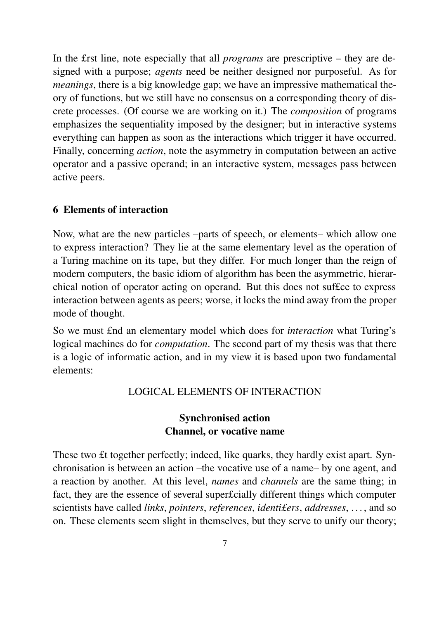In the £rst line, note especially that all *programs* are prescriptive – they are designed with a purpose; *agents* need be neither designed nor purposeful. As for *meanings*, there is a big knowledge gap; we have an impressive mathematical theory of functions, but we still have no consensus on a corresponding theory of discrete processes. (Of course we are working on it.) The *composition* of programs emphasizes the sequentiality imposed by the designer; but in interactive systems everything can happen as soon as the interactions which trigger it have occurred. Finally, concerning *action*, note the asymmetry in computation between an active operator and a passive operand; in an interactive system, messages pass between active peers.

## **6 Elements of interaction**

Now, what are the new particles –parts of speech, or elements– which allow one to express interaction? They lie at the same elementary level as the operation of a Turing machine on its tape, but they differ. For much longer than the reign of modern computers, the basic idiom of algorithm has been the asymmetric, hierarchical notion of operator acting on operand. But this does not suf£ce to express interaction between agents as peers; worse, it locks the mind away from the proper mode of thought.

So we must £nd an elementary model which does for *interaction* what Turing's logical machines do for *computation*. The second part of my thesis was that there is a logic of informatic action, and in my view it is based upon two fundamental elements:

### LOGICAL ELEMENTS OF INTERACTION

## **Synchronised action Channel, or vocative name**

These two £t together perfectly; indeed, like quarks, they hardly exist apart. Synchronisation is between an action –the vocative use of a name– by one agent, and a reaction by another. At this level, *names* and *channels* are the same thing; in fact, they are the essence of several super£cially different things which computer scientists have called *links*, *pointers*, *references*, *identi£ers*, *addresses*, . . . , and so on. These elements seem slight in themselves, but they serve to unify our theory;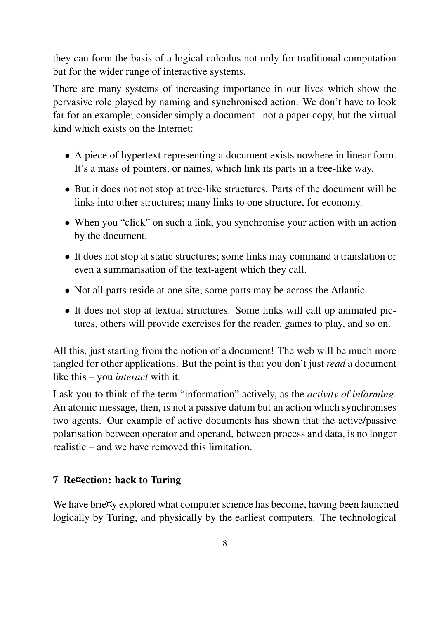they can form the basis of a logical calculus not only for traditional computation but for the wider range of interactive systems.

There are many systems of increasing importance in our lives which show the pervasive role played by naming and synchronised action. We don't have to look far for an example; consider simply a document –not a paper copy, but the virtual kind which exists on the Internet:

- A piece of hypertext representing a document exists nowhere in linear form. It's a mass of pointers, or names, which link its parts in a tree-like way.
- But it does not not stop at tree-like structures. Parts of the document will be links into other structures; many links to one structure, for economy.
- When you "click" on such a link, you synchronise your action with an action by the document.
- It does not stop at static structures; some links may command a translation or even a summarisation of the text-agent which they call.
- Not all parts reside at one site; some parts may be across the Atlantic.
- It does not stop at textual structures. Some links will call up animated pictures, others will provide exercises for the reader, games to play, and so on.

All this, just starting from the notion of a document! The web will be much more tangled for other applications. But the point is that you don't just *read* a document like this – you *interact* with it.

I ask you to think of the term "information" actively, as the *activity of informing*. An atomic message, then, is not a passive datum but an action which synchronises two agents. Our example of active documents has shown that the active/passive polarisation between operator and operand, between process and data, is no longer realistic – and we have removed this limitation.

## **7 Re¤ection: back to Turing**

We have brie¤y explored what computer science has become, having been launched logically by Turing, and physically by the earliest computers. The technological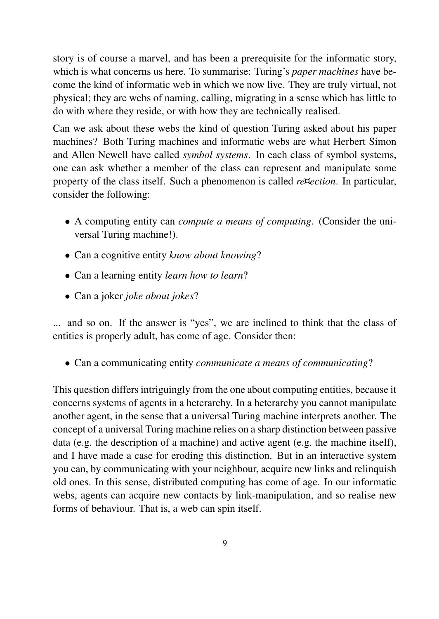story is of course a marvel, and has been a prerequisite for the informatic story, which is what concerns us here. To summarise: Turing's *paper machines* have become the kind of informatic web in which we now live. They are truly virtual, not physical; they are webs of naming, calling, migrating in a sense which has little to do with where they reside, or with how they are technically realised.

Can we ask about these webs the kind of question Turing asked about his paper machines? Both Turing machines and informatic webs are what Herbert Simon and Allen Newell have called *symbol systems*. In each class of symbol systems, one can ask whether a member of the class can represent and manipulate some property of the class itself. Such a phenomenon is called *re¤ection*. In particular, consider the following:

- A computing entity can *compute a means of computing*. (Consider the universal Turing machine!).
- Can a cognitive entity *know about knowing*?
- Can a learning entity *learn how to learn*?
- Can a joker *joke about jokes*?

... and so on. If the answer is "yes", we are inclined to think that the class of entities is properly adult, has come of age. Consider then:

• Can a communicating entity *communicate a means of communicating*?

This question differs intriguingly from the one about computing entities, because it concerns systems of agents in a heterarchy. In a heterarchy you cannot manipulate another agent, in the sense that a universal Turing machine interprets another. The concept of a universal Turing machine relies on a sharp distinction between passive data (e.g. the description of a machine) and active agent (e.g. the machine itself), and I have made a case for eroding this distinction. But in an interactive system you can, by communicating with your neighbour, acquire new links and relinquish old ones. In this sense, distributed computing has come of age. In our informatic webs, agents can acquire new contacts by link-manipulation, and so realise new forms of behaviour. That is, a web can spin itself.